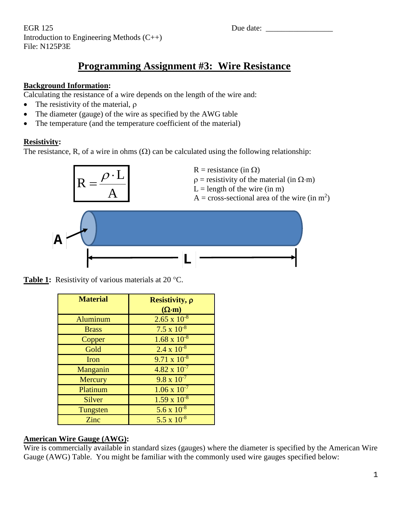EGR 125 Due date: Introduction to Engineering Methods (C++) File: N125P3E

# **Programming Assignment #3: Wire Resistance**

### **Background Information:**

Calculating the resistance of a wire depends on the length of the wire and:

- The resistivity of the material,  $ρ$
- The diameter (gauge) of the wire as specified by the AWG table
- The temperature (and the temperature coefficient of the material)

### **Resistivity:**

The resistance, R, of a wire in ohms  $(\Omega)$  can be calculated using the following relationship:



Table 1: Resistivity of various materials at 20 °C.

| <b>Material</b> | Resistivity, p<br>$(\Omega \cdot m)$ |
|-----------------|--------------------------------------|
| Aluminum        | $2.65 \times 10^{-8}$                |
| <b>Brass</b>    | $7.5 \times 10^{-8}$                 |
| Copper          | $1.68 \times 10^{-8}$                |
| Gold            | $2.4 \times 10^{-8}$                 |
| Iron            | $9.71 \times 10^{-8}$                |
| Manganin        | $4.82 \times 10^{-7}$                |
| Mercury         | $9.8 \times 10^{-7}$                 |
| Platinum        | $1.06 \times 10^{-7}$                |
| <b>Silver</b>   | $1.59 \times 10^{-8}$                |
| Tungsten        | 5.6 x $10^{-8}$                      |
| Zinc            | 5.5 x $10^{-8}$                      |

### **American Wire Gauge (AWG):**

Wire is commercially available in standard sizes (gauges) where the diameter is specified by the American Wire Gauge (AWG) Table. You might be familiar with the commonly used wire gauges specified below: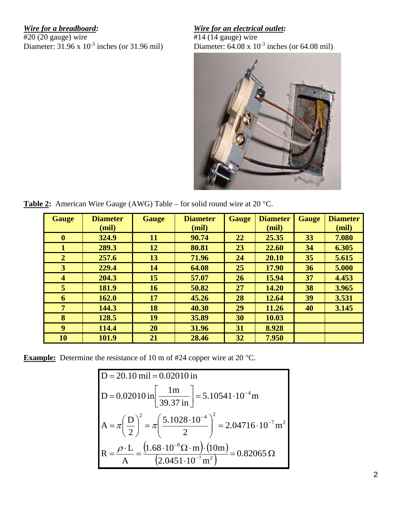*Wire for a breadboard: Wire for an electrical outlet:*  $\frac{Wire \text{ for an electrical outlet:}}{414 (14 \text{ gauge}) \text{ wire}}$ Diameter:  $31.96 \times 10^{-3}$  inches (or 31.96 mil)

 $\frac{420 (20 \text{ gauge}) \text{ wire}}{414 (14 \text{ gauge}) \text{ wire}}$ <br>Diameter: 31.96 x 10<sup>-3</sup> inches (or 31.96 mil)<br>Diameter: 64.08 x 10<sup>-3</sup> inches (or 64.08 mil)



**Table 2:** American Wire Gauge (AWG) Table – for solid round wire at 20 °C.

| <b>Gauge</b>            | <b>Diameter</b><br>(mil) | <b>Gauge</b> | <b>Diameter</b><br>(mil) | <b>Gauge</b> | <b>Diameter</b><br>(mil) | <b>Gauge</b> | <b>Diameter</b><br>(mil) |
|-------------------------|--------------------------|--------------|--------------------------|--------------|--------------------------|--------------|--------------------------|
| $\mathbf{0}$            | 324.9                    | 11           | 90.74                    | 22           | 25.35                    | 33           | 7.080                    |
| 1                       | 289.3                    | 12           | 80.81                    | 23           | 22.60                    | 34           | 6.305                    |
| $\overline{2}$          | 257.6                    | 13           | 71.96                    | 24           | 20.10                    | 35           | 5.615                    |
| 3                       | 229.4                    | 14           | 64.08                    | 25           | 17.90                    | 36           | 5.000                    |
| $\overline{\mathbf{4}}$ | 204.3                    | 15           | 57.07                    | 26           | 15.94                    | 37           | 4.453                    |
| 5                       | 181.9                    | 16           | 50.82                    | 27           | 14.20                    | 38           | 3.965                    |
| 6                       | 162.0                    | 17           | 45.26                    | 28           | 12.64                    | 39           | 3.531                    |
| $\overline{7}$          | 144.3                    | 18           | 40.30                    | 29           | 11.26                    | 40           | 3.145                    |
| 8                       | 128.5                    | 19           | 35.89                    | 30           | 10.03                    |              |                          |
| 9                       | 114.4                    | 20           | 31.96                    | 31           | 8.928                    |              |                          |
| 10                      | 101.9                    | 21           | 28.46                    | 32           | 7.950                    |              |                          |

**Example:** Determine the resistance of 10 m of #24 copper wire at 20 °C.

D = 20.10 mil = 0.02010 in  
\nD = 0.02010 in 
$$
\left[\frac{1m}{39.37 \text{ in}}\right]
$$
 = 5.10541 · 10<sup>-4</sup> m  
\nA = π  $\left(\frac{D}{2}\right)^2$  = π  $\left(\frac{5.1028 \cdot 10^{-4}}{2}\right)^2$  = 2.04716 · 10<sup>-7</sup> m<sup>2</sup>  
\nR =  $\frac{\rho \cdot L}{A}$  =  $\frac{\left(1.68 \cdot 10^{-8} \Omega \cdot m\right) \cdot \left(10m\right)}{\left(2.0451 \cdot 10^{-7} m^2\right)}$  = 0.82065 Ω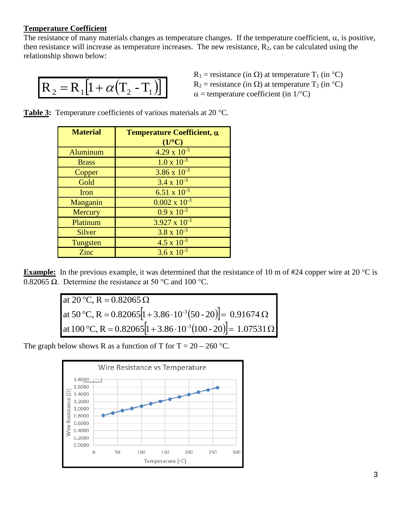### **Temperature Coefficient**

The resistance of many materials changes as temperature changes. If the temperature coefficient,  $\alpha$ , is positive, then resistance will increase as temperature increases. The new resistance,  $R_2$ , can be calculated using the relationship shown below:

$$
\boxed{\mathbf{R}_2 = \mathbf{R}_1 \big[ 1 + \alpha \big( \mathbf{T}_2 - \mathbf{T}_1 \big) \big]}
$$

 $R_1$  = resistance (in  $\Omega$ ) at temperature T<sub>1</sub> (in °C)  $R_2$  = resistance (in  $\Omega$ ) at temperature T<sub>2</sub> (in °C)  $\alpha$  = temperature coefficient (in 1/°C)

Table 3: Temperature coefficients of various materials at 20 °C.

| <b>Material</b> | Temperature Coefficient, $\alpha$ |  |  |  |  |  |  |
|-----------------|-----------------------------------|--|--|--|--|--|--|
|                 | $(1$ <sup>o</sup> C)              |  |  |  |  |  |  |
| Aluminum        | $4.29 \times 10^{-3}$             |  |  |  |  |  |  |
| <b>Brass</b>    | $1.0 \times 10^{-3}$              |  |  |  |  |  |  |
| Copper          | $3.86 \times 10^{-3}$             |  |  |  |  |  |  |
| Gold            | $3.4 \times 10^{-3}$              |  |  |  |  |  |  |
| Iron            | $6.51 \times 10^{-3}$             |  |  |  |  |  |  |
| Manganin        | $0.002 \times 10^{-3}$            |  |  |  |  |  |  |
| Mercury         | $0.9 \times 10^{-3}$              |  |  |  |  |  |  |
| Platinum        | $3.927 \times 10^{-3}$            |  |  |  |  |  |  |
| <b>Silver</b>   | $3.8 \times 10^{-3}$              |  |  |  |  |  |  |
| Tungsten        | $4.5 \times 10^{-3}$              |  |  |  |  |  |  |
| Zinc            | $3.6 \times 10^{-3}$              |  |  |  |  |  |  |

**Example:** In the previous example, it was determined that the resistance of 10 m of #24 copper wire at 20 °C is 0.82065 Ω. Determine the resistance at 50 °C and 100 °C.

| at 20 °C, R = 0.82065 $\Omega$                                                     |
|------------------------------------------------------------------------------------|
| at 50 °C, R = 0.82065 $[1 + 3.86 \cdot 10^{-3}(50 - 20)] = 0.91674 \Omega$         |
| at 100 °C, R = 0.82065 [1 + 3.86 · 10 <sup>-3</sup> (100 - 20)] = 1.07531 $\Omega$ |

The graph below shows R as a function of T for  $T = 20 - 260$  °C.

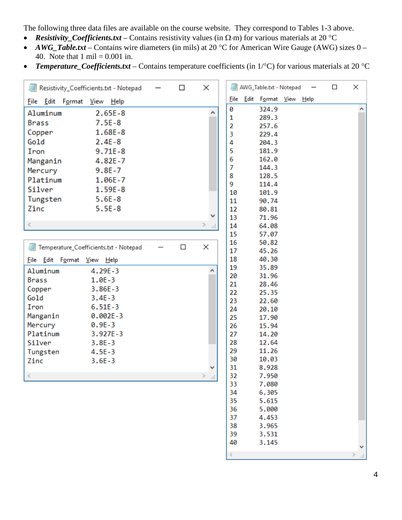The following three data files are available on the course website. They correspond to Tables 1-3 above.

- *Resistivity\_Coefficients.txt* Contains resistivity values (in Ω⋅m) for various materials at 20 °C
- *AWG\_Table.txt* Contains wire diameters (in mils) at 20 °C for American Wire Gauge (AWG) sizes 0 40. Note that  $1 \text{ mil} = 0.001 \text{ in.}$
- *Temperature\_Coefficients.txt* Contains temperature coefficients (in 1/°C) for various materials at 20 °C

| Edit Format View Help<br><b>File</b><br>File Edit Format View Help<br>0<br>324.9<br>∧<br>Aluminum<br>$2.65E-8$<br>1<br>289.3<br>$7.5E-8$<br><b>Brass</b><br>$\overline{2}$<br>257.6<br>Copper<br>$1.68E - 8$<br>3<br>229.4<br>Gold<br>$2.4E-8$<br>4<br>204.3<br>5<br>$9.71E - 8$<br>181.9<br>Iron<br>6<br>162.0<br>Manganin<br>$4.82E - 7$<br>7<br>144.3<br>Mercury<br>$9.8E - 7$<br>8<br>128.5<br>Platinum<br>1.06E-7<br>9<br>114.4<br>Silver<br>$1.59E-8$<br>10<br>101.9<br>Tungsten<br>$5.6E-8$<br>11<br>90.74<br>Zinc<br>$5.5E-8$<br>12<br>80.81<br>٧<br>13<br>71.96<br>$\leq$<br>><br>14<br>64.08<br>$\mathcal{A}^{\mathbb{Z}}$ | Resistivity_Coefficients.txt - Notepad |  | $\Box$ | × |  | AWG_Table.txt - Notepad |  | $\Box$ | × |
|--------------------------------------------------------------------------------------------------------------------------------------------------------------------------------------------------------------------------------------------------------------------------------------------------------------------------------------------------------------------------------------------------------------------------------------------------------------------------------------------------------------------------------------------------------------------------------------------------------------------------------------|----------------------------------------|--|--------|---|--|-------------------------|--|--------|---|
|                                                                                                                                                                                                                                                                                                                                                                                                                                                                                                                                                                                                                                      |                                        |  |        |   |  |                         |  |        |   |
|                                                                                                                                                                                                                                                                                                                                                                                                                                                                                                                                                                                                                                      |                                        |  |        |   |  |                         |  |        |   |
|                                                                                                                                                                                                                                                                                                                                                                                                                                                                                                                                                                                                                                      |                                        |  |        |   |  |                         |  |        |   |
|                                                                                                                                                                                                                                                                                                                                                                                                                                                                                                                                                                                                                                      |                                        |  |        |   |  |                         |  |        |   |
|                                                                                                                                                                                                                                                                                                                                                                                                                                                                                                                                                                                                                                      |                                        |  |        |   |  |                         |  |        |   |
|                                                                                                                                                                                                                                                                                                                                                                                                                                                                                                                                                                                                                                      |                                        |  |        |   |  |                         |  |        |   |
|                                                                                                                                                                                                                                                                                                                                                                                                                                                                                                                                                                                                                                      |                                        |  |        |   |  |                         |  |        |   |
|                                                                                                                                                                                                                                                                                                                                                                                                                                                                                                                                                                                                                                      |                                        |  |        |   |  |                         |  |        |   |
|                                                                                                                                                                                                                                                                                                                                                                                                                                                                                                                                                                                                                                      |                                        |  |        |   |  |                         |  |        |   |
|                                                                                                                                                                                                                                                                                                                                                                                                                                                                                                                                                                                                                                      |                                        |  |        |   |  |                         |  |        |   |
|                                                                                                                                                                                                                                                                                                                                                                                                                                                                                                                                                                                                                                      |                                        |  |        |   |  |                         |  |        |   |
|                                                                                                                                                                                                                                                                                                                                                                                                                                                                                                                                                                                                                                      |                                        |  |        |   |  |                         |  |        |   |
|                                                                                                                                                                                                                                                                                                                                                                                                                                                                                                                                                                                                                                      |                                        |  |        |   |  |                         |  |        |   |
|                                                                                                                                                                                                                                                                                                                                                                                                                                                                                                                                                                                                                                      |                                        |  |        |   |  |                         |  |        |   |
|                                                                                                                                                                                                                                                                                                                                                                                                                                                                                                                                                                                                                                      |                                        |  |        |   |  |                         |  |        |   |
| 15<br>57.07                                                                                                                                                                                                                                                                                                                                                                                                                                                                                                                                                                                                                          |                                        |  |        |   |  |                         |  |        |   |
| 16<br>50.82                                                                                                                                                                                                                                                                                                                                                                                                                                                                                                                                                                                                                          |                                        |  |        |   |  |                         |  |        |   |
| ×<br>$\Box$<br>Temperature_Coefficients.txt - Notepad<br>17<br>45.26                                                                                                                                                                                                                                                                                                                                                                                                                                                                                                                                                                 |                                        |  |        |   |  |                         |  |        |   |
| 18<br>40.30<br>File Edit Format View Help                                                                                                                                                                                                                                                                                                                                                                                                                                                                                                                                                                                            |                                        |  |        |   |  |                         |  |        |   |
| 19<br>35.89<br>۸                                                                                                                                                                                                                                                                                                                                                                                                                                                                                                                                                                                                                     |                                        |  |        |   |  |                         |  |        |   |
| Aluminum<br>$4.29E - 3$<br>31.96<br>20                                                                                                                                                                                                                                                                                                                                                                                                                                                                                                                                                                                               |                                        |  |        |   |  |                         |  |        |   |
| $1.0E - 3$<br><b>Brass</b><br>21<br>28.46                                                                                                                                                                                                                                                                                                                                                                                                                                                                                                                                                                                            |                                        |  |        |   |  |                         |  |        |   |
| Copper<br>$3.86E - 3$<br>22<br>25.35                                                                                                                                                                                                                                                                                                                                                                                                                                                                                                                                                                                                 |                                        |  |        |   |  |                         |  |        |   |
| Gold<br>$3.4E - 3$<br>23<br>22.60                                                                                                                                                                                                                                                                                                                                                                                                                                                                                                                                                                                                    |                                        |  |        |   |  |                         |  |        |   |
| Iron<br>$6.51E-3$<br>24<br>20.10                                                                                                                                                                                                                                                                                                                                                                                                                                                                                                                                                                                                     |                                        |  |        |   |  |                         |  |        |   |
| $0.002E - 3$<br>Manganin<br>25<br>17.90                                                                                                                                                                                                                                                                                                                                                                                                                                                                                                                                                                                              |                                        |  |        |   |  |                         |  |        |   |
| Mercury<br>$0.9E - 3$<br>26<br>15.94                                                                                                                                                                                                                                                                                                                                                                                                                                                                                                                                                                                                 |                                        |  |        |   |  |                         |  |        |   |
| Platinum<br>3.927E-3<br>27<br>14.20                                                                                                                                                                                                                                                                                                                                                                                                                                                                                                                                                                                                  |                                        |  |        |   |  |                         |  |        |   |
| 28<br>12.64<br>Silver<br>$3.8E - 3$                                                                                                                                                                                                                                                                                                                                                                                                                                                                                                                                                                                                  |                                        |  |        |   |  |                         |  |        |   |
| 29<br>11.26<br>Tungsten<br>$4.5E - 3$                                                                                                                                                                                                                                                                                                                                                                                                                                                                                                                                                                                                |                                        |  |        |   |  |                         |  |        |   |
| 30<br>10.03<br>Zinc<br>$3.6E - 3$                                                                                                                                                                                                                                                                                                                                                                                                                                                                                                                                                                                                    |                                        |  |        |   |  |                         |  |        |   |
| 31<br>8.928                                                                                                                                                                                                                                                                                                                                                                                                                                                                                                                                                                                                                          |                                        |  |        |   |  |                         |  |        |   |
| $\rightarrow$<br>32<br>7.950<br>п.                                                                                                                                                                                                                                                                                                                                                                                                                                                                                                                                                                                                   |                                        |  |        |   |  |                         |  |        |   |
| 33<br>7.080                                                                                                                                                                                                                                                                                                                                                                                                                                                                                                                                                                                                                          |                                        |  |        |   |  |                         |  |        |   |
| 34<br>6.305                                                                                                                                                                                                                                                                                                                                                                                                                                                                                                                                                                                                                          |                                        |  |        |   |  |                         |  |        |   |
| 35<br>5.615                                                                                                                                                                                                                                                                                                                                                                                                                                                                                                                                                                                                                          |                                        |  |        |   |  |                         |  |        |   |
| 36<br>5.000                                                                                                                                                                                                                                                                                                                                                                                                                                                                                                                                                                                                                          |                                        |  |        |   |  |                         |  |        |   |
| 37<br>4.453<br>38<br>3.965                                                                                                                                                                                                                                                                                                                                                                                                                                                                                                                                                                                                           |                                        |  |        |   |  |                         |  |        |   |
| 39<br>3.531                                                                                                                                                                                                                                                                                                                                                                                                                                                                                                                                                                                                                          |                                        |  |        |   |  |                         |  |        |   |
| 3.145<br>40                                                                                                                                                                                                                                                                                                                                                                                                                                                                                                                                                                                                                          |                                        |  |        |   |  |                         |  |        |   |

 $\leq$ 

 $\,$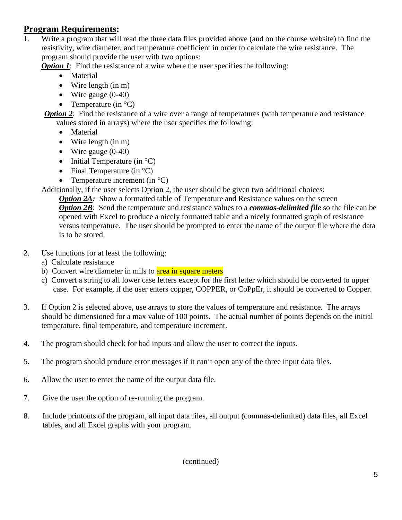## **Program Requirements:**

1. Write a program that will read the three data files provided above (and on the course website) to find the resistivity, wire diameter, and temperature coefficient in order to calculate the wire resistance. The program should provide the user with two options:

*Option 1*: Find the resistance of a wire where the user specifies the following:

- Material
- Wire length (in m)
- Wire gauge  $(0-40)$
- Temperature (in  $^{\circ}C$ )

*Option 2*: Find the resistance of a wire over a range of temperatures (with temperature and resistance values stored in arrays) where the user specifies the following:

- Material
- Wire length (in m)
- Wire gauge (0-40)
- Initial Temperature (in  $^{\circ}$ C)
- Final Temperature (in  $^{\circ}$ C)
- Temperature increment (in  $^{\circ}C$ )

Additionally, if the user selects Option 2, the user should be given two additional choices:

*Option 2A:* Show a formatted table of Temperature and Resistance values on the screen *Option 2B*: Send the temperature and resistance values to a *commas-delimited file* so the file can be opened with Excel to produce a nicely formatted table and a nicely formatted graph of resistance versus temperature. The user should be prompted to enter the name of the output file where the data is to be stored.

- 2. Use functions for at least the following:
	- a) Calculate resistance
	- b) Convert wire diameter in mils to area in square meters
	- c) Convert a string to all lower case letters except for the first letter which should be converted to upper case. For example, if the user enters copper, COPPER, or CoPpEr, it should be converted to Copper.
- 3. If Option 2 is selected above, use arrays to store the values of temperature and resistance. The arrays should be dimensioned for a max value of 100 points. The actual number of points depends on the initial temperature, final temperature, and temperature increment.
- 4. The program should check for bad inputs and allow the user to correct the inputs.
- 5. The program should produce error messages if it can't open any of the three input data files.
- 6. Allow the user to enter the name of the output data file.
- 7. Give the user the option of re-running the program.
- 8. Include printouts of the program, all input data files, all output (commas-delimited) data files, all Excel tables, and all Excel graphs with your program.